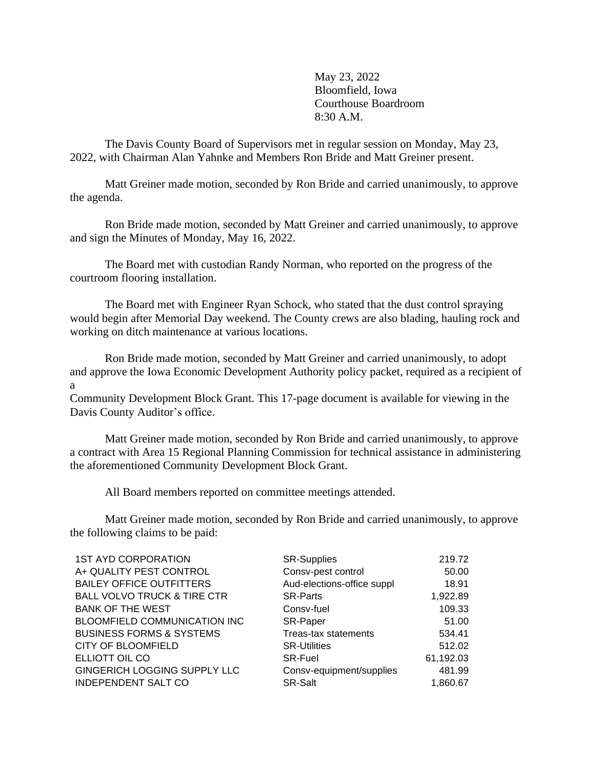May 23, 2022 Bloomfield, Iowa Courthouse Boardroom 8:30 A.M.

The Davis County Board of Supervisors met in regular session on Monday, May 23, 2022, with Chairman Alan Yahnke and Members Ron Bride and Matt Greiner present.

Matt Greiner made motion, seconded by Ron Bride and carried unanimously, to approve the agenda.

Ron Bride made motion, seconded by Matt Greiner and carried unanimously, to approve and sign the Minutes of Monday, May 16, 2022.

The Board met with custodian Randy Norman, who reported on the progress of the courtroom flooring installation.

The Board met with Engineer Ryan Schock, who stated that the dust control spraying would begin after Memorial Day weekend. The County crews are also blading, hauling rock and working on ditch maintenance at various locations.

Ron Bride made motion, seconded by Matt Greiner and carried unanimously, to adopt and approve the Iowa Economic Development Authority policy packet, required as a recipient of a

Community Development Block Grant. This 17-page document is available for viewing in the Davis County Auditor's office.

 Matt Greiner made motion, seconded by Ron Bride and carried unanimously, to approve a contract with Area 15 Regional Planning Commission for technical assistance in administering the aforementioned Community Development Block Grant.

All Board members reported on committee meetings attended.

Matt Greiner made motion, seconded by Ron Bride and carried unanimously, to approve the following claims to be paid:

| <b>1ST AYD CORPORATION</b>             | <b>SR-Supplies</b>         | 219.72    |
|----------------------------------------|----------------------------|-----------|
| A+ QUALITY PEST CONTROL                | Consv-pest control         | 50.00     |
| <b>BAILEY OFFICE OUTFITTERS</b>        | Aud-elections-office suppl | 18.91     |
| <b>BALL VOLVO TRUCK &amp; TIRE CTR</b> | <b>SR-Parts</b>            | 1,922.89  |
| <b>BANK OF THE WEST</b>                | Consy-fuel                 | 109.33    |
| BLOOMFIELD COMMUNICATION INC           | SR-Paper                   | 51.00     |
| <b>BUSINESS FORMS &amp; SYSTEMS</b>    | Treas-tax statements       | 534.41    |
| <b>CITY OF BLOOMFIELD</b>              | <b>SR-Utilities</b>        | 512.02    |
| ELLIOTT OIL CO                         | <b>SR-Fuel</b>             | 61,192.03 |
| GINGERICH LOGGING SUPPLY LLC           | Consv-equipment/supplies   | 481.99    |
| <b>INDEPENDENT SALT CO</b>             | SR-Salt                    | 1,860.67  |
|                                        |                            |           |